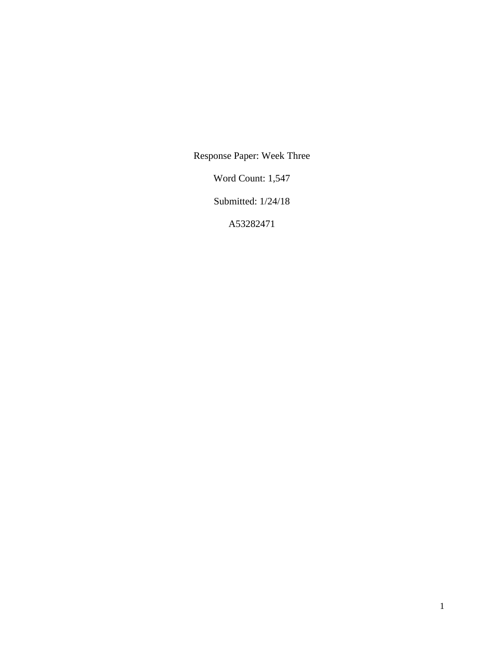Response Paper: Week Three

Word Count: 1,547

Submitted: 1/24/18

A53282471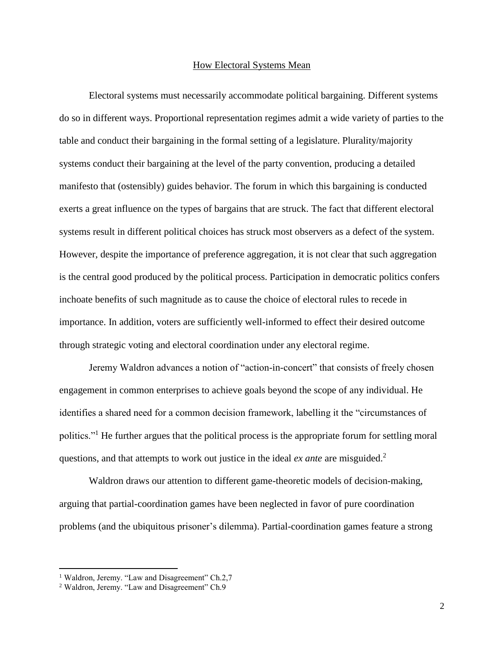## How Electoral Systems Mean

Electoral systems must necessarily accommodate political bargaining. Different systems do so in different ways. Proportional representation regimes admit a wide variety of parties to the table and conduct their bargaining in the formal setting of a legislature. Plurality/majority systems conduct their bargaining at the level of the party convention, producing a detailed manifesto that (ostensibly) guides behavior. The forum in which this bargaining is conducted exerts a great influence on the types of bargains that are struck. The fact that different electoral systems result in different political choices has struck most observers as a defect of the system. However, despite the importance of preference aggregation, it is not clear that such aggregation is the central good produced by the political process. Participation in democratic politics confers inchoate benefits of such magnitude as to cause the choice of electoral rules to recede in importance. In addition, voters are sufficiently well-informed to effect their desired outcome through strategic voting and electoral coordination under any electoral regime.

Jeremy Waldron advances a notion of "action-in-concert" that consists of freely chosen engagement in common enterprises to achieve goals beyond the scope of any individual. He identifies a shared need for a common decision framework, labelling it the "circumstances of politics."<sup>1</sup> He further argues that the political process is the appropriate forum for settling moral questions, and that attempts to work out justice in the ideal *ex ante* are misguided.<sup>2</sup>

Waldron draws our attention to different game-theoretic models of decision-making, arguing that partial-coordination games have been neglected in favor of pure coordination problems (and the ubiquitous prisoner's dilemma). Partial-coordination games feature a strong

 $\overline{a}$ 

<sup>&</sup>lt;sup>1</sup> Waldron, Jeremy. "Law and Disagreement" Ch.2,7

<sup>&</sup>lt;sup>2</sup> Waldron, Jeremy. "Law and Disagreement" Ch.9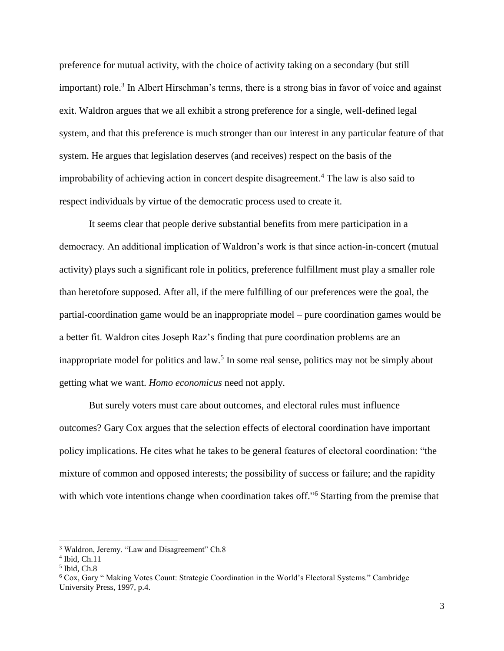preference for mutual activity, with the choice of activity taking on a secondary (but still important) role.<sup>3</sup> In Albert Hirschman's terms, there is a strong bias in favor of voice and against exit. Waldron argues that we all exhibit a strong preference for a single, well-defined legal system, and that this preference is much stronger than our interest in any particular feature of that system. He argues that legislation deserves (and receives) respect on the basis of the improbability of achieving action in concert despite disagreement.<sup>4</sup> The law is also said to respect individuals by virtue of the democratic process used to create it.

It seems clear that people derive substantial benefits from mere participation in a democracy. An additional implication of Waldron's work is that since action-in-concert (mutual activity) plays such a significant role in politics, preference fulfillment must play a smaller role than heretofore supposed. After all, if the mere fulfilling of our preferences were the goal, the partial-coordination game would be an inappropriate model – pure coordination games would be a better fit. Waldron cites Joseph Raz's finding that pure coordination problems are an inappropriate model for politics and law.<sup>5</sup> In some real sense, politics may not be simply about getting what we want. *Homo economicus* need not apply.

But surely voters must care about outcomes, and electoral rules must influence outcomes? Gary Cox argues that the selection effects of electoral coordination have important policy implications. He cites what he takes to be general features of electoral coordination: "the mixture of common and opposed interests; the possibility of success or failure; and the rapidity with which vote intentions change when coordination takes off."<sup>6</sup> Starting from the premise that

l

<sup>3</sup> Waldron, Jeremy. "Law and Disagreement" Ch.8

<sup>4</sup> Ibid, Ch.11

<sup>5</sup> Ibid, Ch.8

<sup>6</sup> Cox, Gary " Making Votes Count: Strategic Coordination in the World's Electoral Systems." Cambridge University Press, 1997, p.4.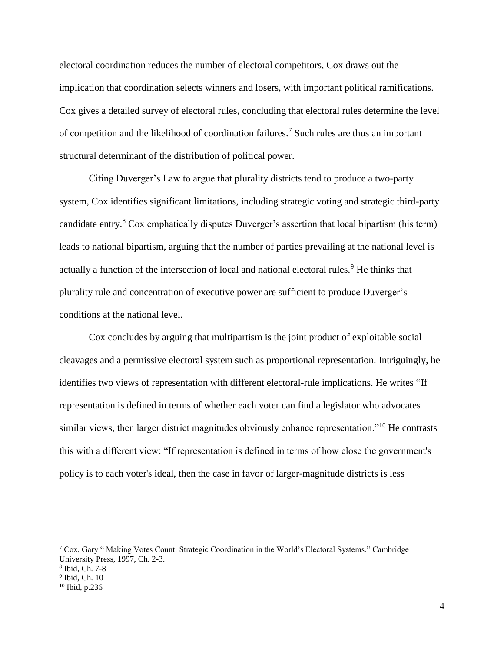electoral coordination reduces the number of electoral competitors, Cox draws out the implication that coordination selects winners and losers, with important political ramifications. Cox gives a detailed survey of electoral rules, concluding that electoral rules determine the level of competition and the likelihood of coordination failures.<sup>7</sup> Such rules are thus an important structural determinant of the distribution of political power.

Citing Duverger's Law to argue that plurality districts tend to produce a two-party system, Cox identifies significant limitations, including strategic voting and strategic third-party candidate entry.<sup>8</sup> Cox emphatically disputes Duverger's assertion that local bipartism (his term) leads to national bipartism, arguing that the number of parties prevailing at the national level is actually a function of the intersection of local and national electoral rules.<sup>9</sup> He thinks that plurality rule and concentration of executive power are sufficient to produce Duverger's conditions at the national level.

Cox concludes by arguing that multipartism is the joint product of exploitable social cleavages and a permissive electoral system such as proportional representation. Intriguingly, he identifies two views of representation with different electoral-rule implications. He writes "If representation is defined in terms of whether each voter can find a legislator who advocates similar views, then larger district magnitudes obviously enhance representation."<sup>10</sup> He contrasts this with a different view: "If representation is defined in terms of how close the government's policy is to each voter's ideal, then the case in favor of larger-magnitude districts is less

l

<sup>7</sup> Cox, Gary " Making Votes Count: Strategic Coordination in the World's Electoral Systems." Cambridge University Press, 1997, Ch. 2-3.

<sup>8</sup> Ibid, Ch. 7-8

<sup>9</sup> Ibid, Ch. 10

<sup>10</sup> Ibid, p.236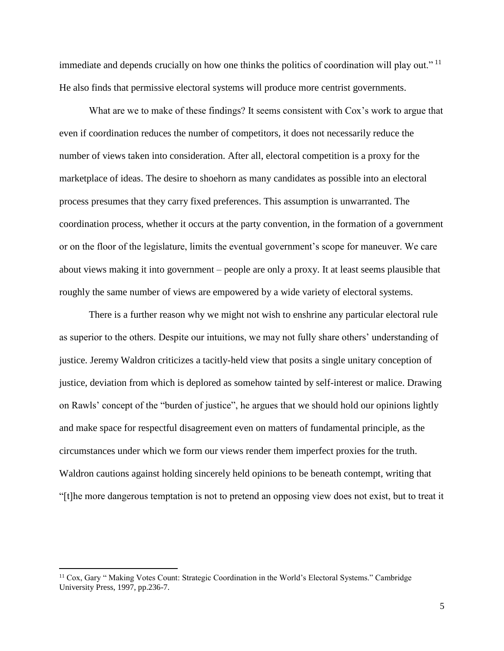immediate and depends crucially on how one thinks the politics of coordination will play out."<sup>11</sup> He also finds that permissive electoral systems will produce more centrist governments.

What are we to make of these findings? It seems consistent with Cox's work to argue that even if coordination reduces the number of competitors, it does not necessarily reduce the number of views taken into consideration. After all, electoral competition is a proxy for the marketplace of ideas. The desire to shoehorn as many candidates as possible into an electoral process presumes that they carry fixed preferences. This assumption is unwarranted. The coordination process, whether it occurs at the party convention, in the formation of a government or on the floor of the legislature, limits the eventual government's scope for maneuver. We care about views making it into government – people are only a proxy. It at least seems plausible that roughly the same number of views are empowered by a wide variety of electoral systems.

There is a further reason why we might not wish to enshrine any particular electoral rule as superior to the others. Despite our intuitions, we may not fully share others' understanding of justice. Jeremy Waldron criticizes a tacitly-held view that posits a single unitary conception of justice, deviation from which is deplored as somehow tainted by self-interest or malice. Drawing on Rawls' concept of the "burden of justice", he argues that we should hold our opinions lightly and make space for respectful disagreement even on matters of fundamental principle, as the circumstances under which we form our views render them imperfect proxies for the truth. Waldron cautions against holding sincerely held opinions to be beneath contempt, writing that "[t]he more dangerous temptation is not to pretend an opposing view does not exist, but to treat it

 $\overline{a}$ 

<sup>&</sup>lt;sup>11</sup> Cox, Gary " Making Votes Count: Strategic Coordination in the World's Electoral Systems." Cambridge University Press, 1997, pp.236-7.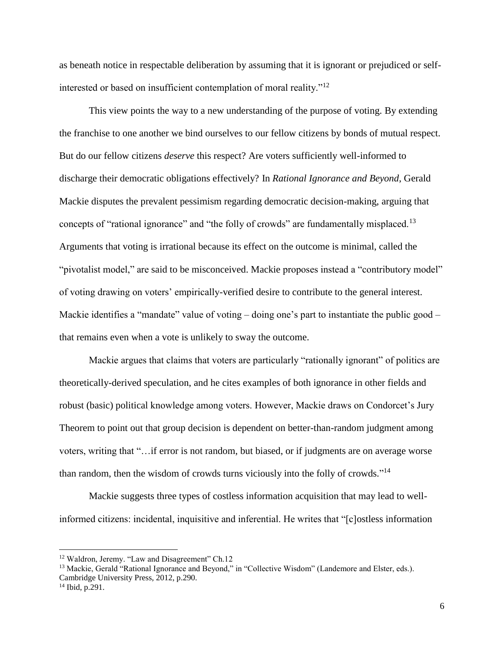as beneath notice in respectable deliberation by assuming that it is ignorant or prejudiced or selfinterested or based on insufficient contemplation of moral reality."<sup>12</sup>

This view points the way to a new understanding of the purpose of voting. By extending the franchise to one another we bind ourselves to our fellow citizens by bonds of mutual respect. But do our fellow citizens *deserve* this respect? Are voters sufficiently well-informed to discharge their democratic obligations effectively? In *Rational Ignorance and Beyond*, Gerald Mackie disputes the prevalent pessimism regarding democratic decision-making, arguing that concepts of "rational ignorance" and "the folly of crowds" are fundamentally misplaced.<sup>13</sup> Arguments that voting is irrational because its effect on the outcome is minimal, called the "pivotalist model," are said to be misconceived. Mackie proposes instead a "contributory model" of voting drawing on voters' empirically-verified desire to contribute to the general interest. Mackie identifies a "mandate" value of voting – doing one's part to instantiate the public good – that remains even when a vote is unlikely to sway the outcome.

Mackie argues that claims that voters are particularly "rationally ignorant" of politics are theoretically-derived speculation, and he cites examples of both ignorance in other fields and robust (basic) political knowledge among voters. However, Mackie draws on Condorcet's Jury Theorem to point out that group decision is dependent on better-than-random judgment among voters, writing that "…if error is not random, but biased, or if judgments are on average worse than random, then the wisdom of crowds turns viciously into the folly of crowds."<sup>14</sup>

Mackie suggests three types of costless information acquisition that may lead to wellinformed citizens: incidental, inquisitive and inferential. He writes that "[c]ostless information

 $\overline{a}$ 

<sup>&</sup>lt;sup>12</sup> Waldron, Jeremy. "Law and Disagreement" Ch.12

<sup>&</sup>lt;sup>13</sup> Mackie, Gerald "Rational Ignorance and Beyond," in "Collective Wisdom" (Landemore and Elster, eds.). Cambridge University Press, 2012, p.290.

 $14$  Ibid, p.291.